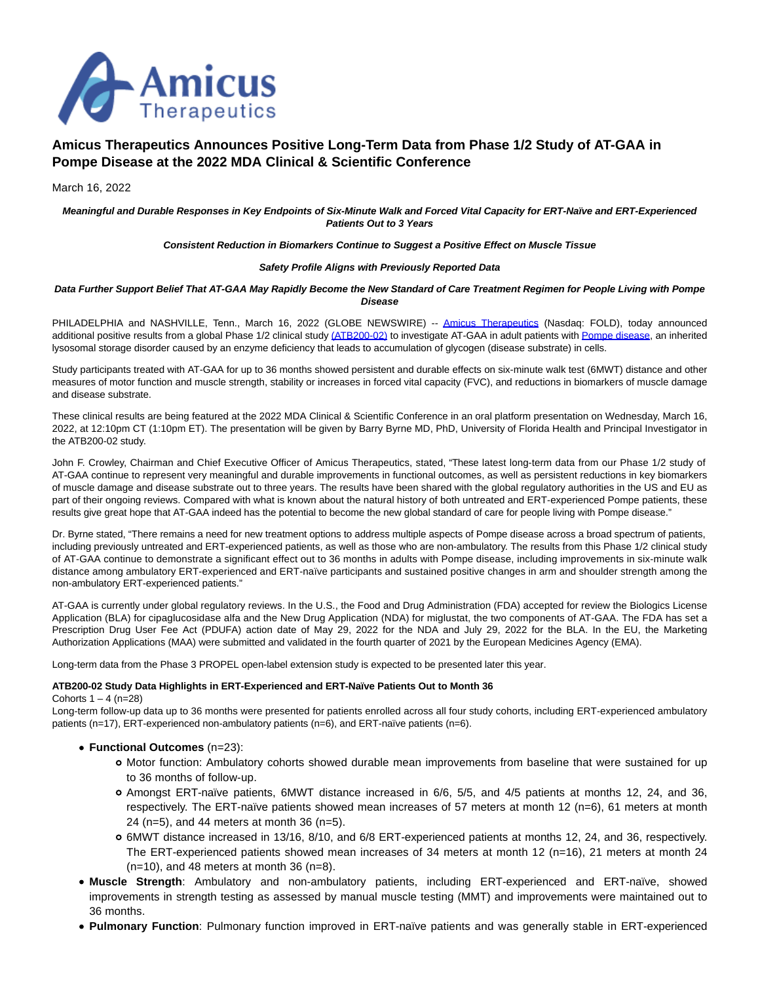

# **Amicus Therapeutics Announces Positive Long-Term Data from Phase 1/2 Study of AT-GAA in Pompe Disease at the 2022 MDA Clinical & Scientific Conference**

# March 16, 2022

**Meaningful and Durable Responses in Key Endpoints of Six-Minute Walk and Forced Vital Capacity for ERT-Naïve and ERT-Experienced Patients Out to 3 Years**

### **Consistent Reduction in Biomarkers Continue to Suggest a Positive Effect on Muscle Tissue**

### **Safety Profile Aligns with Previously Reported Data**

## **Data Further Support Belief That AT-GAA May Rapidly Become the New Standard of Care Treatment Regimen for People Living with Pompe Disease**

PHILADELPHIA and NASHVILLE, Tenn., March 16, 2022 (GLOBE NEWSWIRE) -- [Amicus Therapeutics](https://www.globenewswire.com/Tracker?data=qK6QM-D-TEGuK_xhOeMPagQtdyHXLYAWe59963m0Y3oEw72jp5KHB-4PruHnWXlyr7i1Fnfp-ieTKlD2u1IeVASLn5yPX9di6DPFS1QS10o=) (Nasdaq: FOLD), today announced additional positive results from a global Phase 1/2 clinical study [\(ATB200-02\) t](https://www.globenewswire.com/Tracker?data=JO4llE4kyBO8XIeSA7ubmht7VXWkImRiz4ZtwNFnFGPt4p2VxuaNA2opNZKeog_GRmcvJrcZKsnlaZZ988dVjru1C_ItU96Gjdm1ejxPmauO5fiH8D_36DkmH2pV40jHWpTC5Y-4RXptQdMGaod3yQ==)o investigate AT-GAA in adult patients with [Pompe disease,](https://www.globenewswire.com/Tracker?data=5dvqgjAgB3nzsUskQrU9c0WsqNEA0fEROsER1opS3sRd0rwc6Ef_kIxwHwooMD_LPcetrlGOM6TxkUZWLMeY72auC4flFraRNldUZ7rzxqk22HwHb9hECovckCc7J42_) an inherited lysosomal storage disorder caused by an enzyme deficiency that leads to accumulation of glycogen (disease substrate) in cells.

Study participants treated with AT-GAA for up to 36 months showed persistent and durable effects on six-minute walk test (6MWT) distance and other measures of motor function and muscle strength, stability or increases in forced vital capacity (FVC), and reductions in biomarkers of muscle damage and disease substrate.

These clinical results are being featured at the 2022 MDA Clinical & Scientific Conference in an oral platform presentation on Wednesday, March 16, 2022, at 12:10pm CT (1:10pm ET). The presentation will be given by Barry Byrne MD, PhD, University of Florida Health and Principal Investigator in the ATB200-02 study.

John F. Crowley, Chairman and Chief Executive Officer of Amicus Therapeutics, stated, "These latest long-term data from our Phase 1/2 study of AT-GAA continue to represent very meaningful and durable improvements in functional outcomes, as well as persistent reductions in key biomarkers of muscle damage and disease substrate out to three years. The results have been shared with the global regulatory authorities in the US and EU as part of their ongoing reviews. Compared with what is known about the natural history of both untreated and ERT-experienced Pompe patients, these results give great hope that AT-GAA indeed has the potential to become the new global standard of care for people living with Pompe disease."

Dr. Byrne stated, "There remains a need for new treatment options to address multiple aspects of Pompe disease across a broad spectrum of patients, including previously untreated and ERT-experienced patients, as well as those who are non-ambulatory. The results from this Phase 1/2 clinical study of AT-GAA continue to demonstrate a significant effect out to 36 months in adults with Pompe disease, including improvements in six-minute walk distance among ambulatory ERT-experienced and ERT-naïve participants and sustained positive changes in arm and shoulder strength among the non-ambulatory ERT-experienced patients."

AT-GAA is currently under global regulatory reviews. In the U.S., the Food and Drug Administration (FDA) accepted for review the Biologics License Application (BLA) for cipaglucosidase alfa and the New Drug Application (NDA) for miglustat, the two components of AT-GAA. The FDA has set a Prescription Drug User Fee Act (PDUFA) action date of May 29, 2022 for the NDA and July 29, 2022 for the BLA. In the EU, the Marketing Authorization Applications (MAA) were submitted and validated in the fourth quarter of 2021 by the European Medicines Agency (EMA).

Long-term data from the Phase 3 PROPEL open-label extension study is expected to be presented later this year.

## **ATB200-02 Study Data Highlights in ERT-Experienced and ERT-Naïve Patients Out to Month 36**

#### Cohorts  $1 - 4$  (n=28)

Long-term follow-up data up to 36 months were presented for patients enrolled across all four study cohorts, including ERT-experienced ambulatory patients (n=17), ERT-experienced non-ambulatory patients (n=6), and ERT-naïve patients (n=6).

- **Functional Outcomes** (n=23):
	- Motor function: Ambulatory cohorts showed durable mean improvements from baseline that were sustained for up to 36 months of follow-up.
	- Amongst ERT-naïve patients, 6MWT distance increased in 6/6, 5/5, and 4/5 patients at months 12, 24, and 36, respectively. The ERT-naïve patients showed mean increases of 57 meters at month 12 (n=6), 61 meters at month 24 (n=5), and 44 meters at month 36 (n=5).
	- 6MWT distance increased in 13/16, 8/10, and 6/8 ERT-experienced patients at months 12, 24, and 36, respectively. The ERT-experienced patients showed mean increases of 34 meters at month 12 (n=16), 21 meters at month 24  $(n=10)$ , and 48 meters at month 36  $(n=8)$ .
- **Muscle Strength**: Ambulatory and non-ambulatory patients, including ERT-experienced and ERT-naïve, showed improvements in strength testing as assessed by manual muscle testing (MMT) and improvements were maintained out to 36 months.
- **Pulmonary Function**: Pulmonary function improved in ERT-naïve patients and was generally stable in ERT-experienced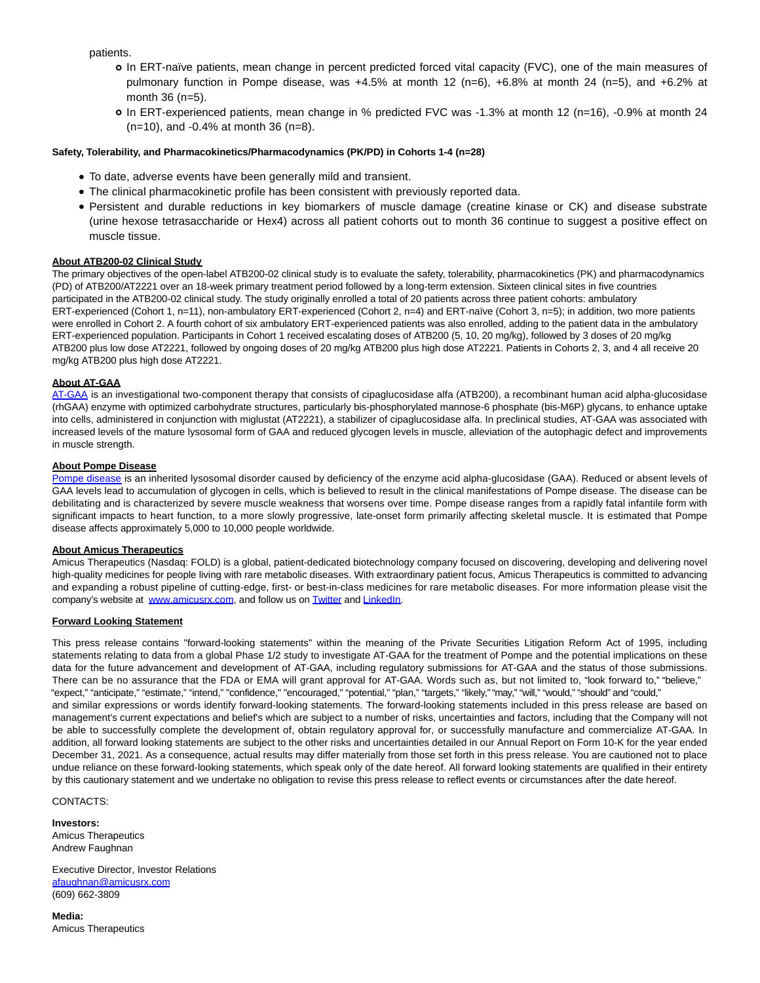patients.

- In ERT-naïve patients, mean change in percent predicted forced vital capacity (FVC), one of the main measures of pulmonary function in Pompe disease, was +4.5% at month 12 (n=6), +6.8% at month 24 (n=5), and +6.2% at month 36 (n=5).
- In ERT-experienced patients, mean change in % predicted FVC was -1.3% at month 12 (n=16), -0.9% at month 24 (n=10), and -0.4% at month 36 (n=8).

# **Safety, Tolerability, and Pharmacokinetics/Pharmacodynamics (PK/PD) in Cohorts 1-4 (n=28)**

- To date, adverse events have been generally mild and transient.
- The clinical pharmacokinetic profile has been consistent with previously reported data.
- Persistent and durable reductions in key biomarkers of muscle damage (creatine kinase or CK) and disease substrate (urine hexose tetrasaccharide or Hex4) across all patient cohorts out to month 36 continue to suggest a positive effect on muscle tissue.

## **About ATB200-02 Clinical Study**

The primary objectives of the open-label ATB200-02 clinical study is to evaluate the safety, tolerability, pharmacokinetics (PK) and pharmacodynamics (PD) of ATB200/AT2221 over an 18-week primary treatment period followed by a long-term extension. Sixteen clinical sites in five countries participated in the ATB200-02 clinical study. The study originally enrolled a total of 20 patients across three patient cohorts: ambulatory ERT-experienced (Cohort 1, n=11), non-ambulatory ERT-experienced (Cohort 2, n=4) and ERT-naïve (Cohort 3, n=5); in addition, two more patients were enrolled in Cohort 2. A fourth cohort of six ambulatory ERT-experienced patients was also enrolled, adding to the patient data in the ambulatory ERT-experienced population. Participants in Cohort 1 received escalating doses of ATB200 (5, 10, 20 mg/kg), followed by 3 doses of 20 mg/kg ATB200 plus low dose AT2221, followed by ongoing doses of 20 mg/kg ATB200 plus high dose AT2221. Patients in Cohorts 2, 3, and 4 all receive 20 mg/kg ATB200 plus high dose AT2221.

### **About AT-GAA**

[AT-GAA i](https://www.globenewswire.com/Tracker?data=-xwakkn8RlqwnSp9DWs9um41CISoUqVIMfpFlRw-G4sk-3qC544dqnm1_iBEDw6jnnAX2Zml-DzS7vnlO8qDWuCPCM4y5Owtdo1hvLEPndUYbS2Fe5QSAjq9POj9D-ok)s an investigational two-component therapy that consists of cipaglucosidase alfa (ATB200), a recombinant human acid alpha-glucosidase (rhGAA) enzyme with optimized carbohydrate structures, particularly bis-phosphorylated mannose-6 phosphate (bis-M6P) glycans, to enhance uptake into cells, administered in conjunction with miglustat (AT2221), a stabilizer of cipaglucosidase alfa. In preclinical studies, AT-GAA was associated with increased levels of the mature lysosomal form of GAA and reduced glycogen levels in muscle, alleviation of the autophagic defect and improvements in muscle strength.

### **About Pompe Disease**

[Pompe disease i](https://www.globenewswire.com/Tracker?data=5dvqgjAgB3nzsUskQrU9cxqyXI1BDWCXRWl8Sy3w1HxjUeHHh0GIhgXrv4sj2Dw9IjhoSalmGOqELSGKSM7BpmezP4z2Pna3h-eAN5A0YAWpsTSmeSQ1uxTpoA-25UPv)s an inherited lysosomal disorder caused by deficiency of the enzyme acid alpha-glucosidase (GAA). Reduced or absent levels of GAA levels lead to accumulation of glycogen in cells, which is believed to result in the clinical manifestations of Pompe disease. The disease can be debilitating and is characterized by severe muscle weakness that worsens over time. Pompe disease ranges from a rapidly fatal infantile form with significant impacts to heart function, to a more slowly progressive, late-onset form primarily affecting skeletal muscle. It is estimated that Pompe disease affects approximately 5,000 to 10,000 people worldwide.

#### **About Amicus Therapeutics**

Amicus Therapeutics (Nasdaq: FOLD) is a global, patient-dedicated biotechnology company focused on discovering, developing and delivering novel high-quality medicines for people living with rare metabolic diseases. With extraordinary patient focus, Amicus Therapeutics is committed to advancing and expanding a robust pipeline of cutting-edge, first- or best-in-class medicines for rare metabolic diseases. For more information please visit the company's website at [www.amicusrx.com,](https://www.globenewswire.com/Tracker?data=iA65T_tu9dxk8yM9mhtwbSPiiC_T387UwIWThEGUgjVPuUsDUMLLtFsTEJt7kPN_TRX4CHtBaUVir1dxE16vkQ==) and follow us on [Twitter a](https://www.globenewswire.com/Tracker?data=_MLZWxe0Ggol3yBEdWGu8HAcaFD2SI_i4J4sGuPi_b1ihFfq6LGkLTAP4RYmPtgck-3ZthcZ16v4Ybk3pB1CIA==)nd [LinkedIn.](https://www.globenewswire.com/Tracker?data=4j4knY_RhtKx4zi7tYiZ_3XyLekm5ZJheMJPalxGwSCY9N61GfAGyD47csWzMJBSSpCjpDLwrDSsu_7yUS68_tWrrMmMe0S-B7m504Vs7N1X4TppxpJ8OR1jKXl4S62q)

#### **Forward Looking Statement**

This press release contains "forward-looking statements" within the meaning of the Private Securities Litigation Reform Act of 1995, including statements relating to data from a global Phase 1/2 study to investigate AT-GAA for the treatment of Pompe and the potential implications on these data for the future advancement and development of AT-GAA, including regulatory submissions for AT-GAA and the status of those submissions. There can be no assurance that the FDA or EMA will grant approval for AT-GAA. Words such as, but not limited to, "look forward to," "believe," "expect," "anticipate," "estimate," "intend," "confidence," "encouraged," "potential," "plan," "targets," "likely," "may," "will," "would," "should" and "could," and similar expressions or words identify forward-looking statements. The forward-looking statements included in this press release are based on management's current expectations and belief's which are subject to a number of risks, uncertainties and factors, including that the Company will not be able to successfully complete the development of, obtain regulatory approval for, or successfully manufacture and commercialize AT-GAA. In addition, all forward looking statements are subject to the other risks and uncertainties detailed in our Annual Report on Form 10-K for the year ended December 31, 2021. As a consequence, actual results may differ materially from those set forth in this press release. You are cautioned not to place undue reliance on these forward-looking statements, which speak only of the date hereof. All forward looking statements are qualified in their entirety by this cautionary statement and we undertake no obligation to revise this press release to reflect events or circumstances after the date hereof.

CONTACTS:

**Investors:** Amicus Therapeutics Andrew Faughnan

Executive Director, Investor Relations [afaughnan@amicusrx.com](https://www.globenewswire.com/Tracker?data=EljEOMfXG1kMhbb_4JhXjT9kbqLfB---GaOlAWWNKWlBQyqHfa6jBSVMX35QGTRYJj2isCmADgx95Gmh3oWelbOG-5CTtndDZRcCHTIvz00=) (609) 662-3809

**Media:** Amicus Therapeutics